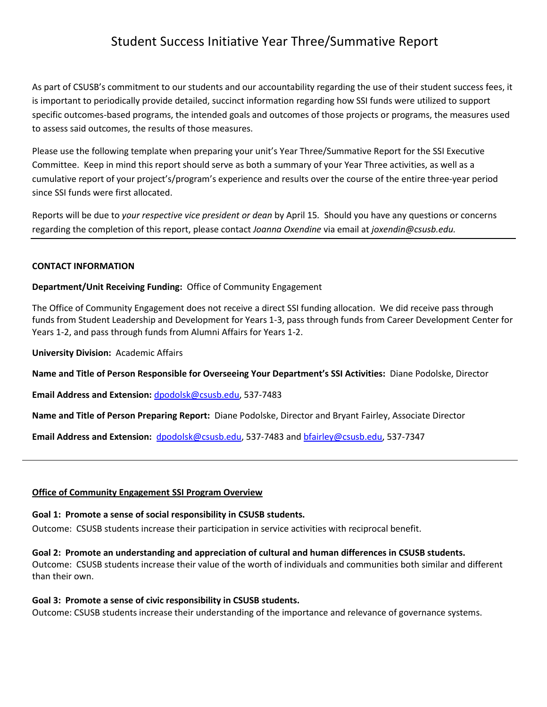# Student Success Initiative Year Three/Summative Report

As part of CSUSB's commitment to our students and our accountability regarding the use of their student success fees, it is important to periodically provide detailed, succinct information regarding how SSI funds were utilized to support specific outcomes-based programs, the intended goals and outcomes of those projects or programs, the measures used to assess said outcomes, the results of those measures.

Please use the following template when preparing your unit's Year Three/Summative Report for the SSI Executive Committee. Keep in mind this report should serve as both a summary of your Year Three activities, as well as a cumulative report of your project's/program's experience and results over the course of the entire three-year period since SSI funds were first allocated.

Reports will be due to *your respective vice president or dean* by April 15*.* Should you have any questions or concerns regarding the completion of this report, please contact *Joanna Oxendine* via email at *joxendin@csusb.edu.*

#### **CONTACT INFORMATION**

**Department/Unit Receiving Funding:** Office of Community Engagement

The Office of Community Engagement does not receive a direct SSI funding allocation. We did receive pass through funds from Student Leadership and Development for Years 1-3, pass through funds from Career Development Center for Years 1-2, and pass through funds from Alumni Affairs for Years 1-2.

**University Division:** Academic Affairs

**Name and Title of Person Responsible for Overseeing Your Department's SSI Activities:** Diane Podolske, Director

**Email Address and Extension:** [dpodolsk@csusb.edu,](mailto:dpodolsk@csusb.edu) 537-7483

**Name and Title of Person Preparing Report:** Diane Podolske, Director and Bryant Fairley, Associate Director

Email Address and Extension: [dpodolsk@csusb.edu,](mailto:dpodolsk@csusb.edu) 537-7483 and [bfairley@csusb.edu,](mailto:bfairley@csusb.edu) 537-7347

#### **Office of Community Engagement SSI Program Overview**

#### **Goal 1: Promote a sense of social responsibility in CSUSB students.**

Outcome: CSUSB students increase their participation in service activities with reciprocal benefit.

#### **Goal 2: Promote an understanding and appreciation of cultural and human differences in CSUSB students.**

Outcome: CSUSB students increase their value of the worth of individuals and communities both similar and different than their own.

#### **Goal 3: Promote a sense of civic responsibility in CSUSB students.**

Outcome: CSUSB students increase their understanding of the importance and relevance of governance systems.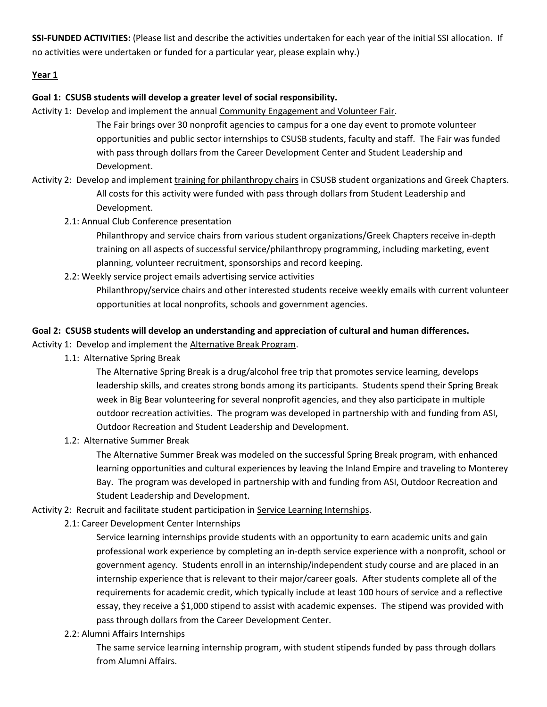**SSI-FUNDED ACTIVITIES:** (Please list and describe the activities undertaken for each year of the initial SSI allocation. If no activities were undertaken or funded for a particular year, please explain why.)

## **Year 1**

#### **Goal 1: CSUSB students will develop a greater level of social responsibility.**

- Activity 1: Develop and implement the annual Community Engagement and Volunteer Fair.
	- The Fair brings over 30 nonprofit agencies to campus for a one day event to promote volunteer opportunities and public sector internships to CSUSB students, faculty and staff. The Fair was funded with pass through dollars from the Career Development Center and Student Leadership and Development.
- Activity 2: Develop and implement training for philanthropy chairs in CSUSB student organizations and Greek Chapters. All costs for this activity were funded with pass through dollars from Student Leadership and Development.
	- 2.1: Annual Club Conference presentation

Philanthropy and service chairs from various student organizations/Greek Chapters receive in-depth training on all aspects of successful service/philanthropy programming, including marketing, event planning, volunteer recruitment, sponsorships and record keeping.

2.2: Weekly service project emails advertising service activities Philanthropy/service chairs and other interested students receive weekly emails with current volunteer opportunities at local nonprofits, schools and government agencies.

#### **Goal 2: CSUSB students will develop an understanding and appreciation of cultural and human differences.**

Activity 1: Develop and implement the Alternative Break Program.

1.1: Alternative Spring Break

The Alternative Spring Break is a drug/alcohol free trip that promotes service learning, develops leadership skills, and creates strong bonds among its participants. Students spend their Spring Break week in Big Bear volunteering for several nonprofit agencies, and they also participate in multiple outdoor recreation activities. The program was developed in partnership with and funding from ASI, Outdoor Recreation and Student Leadership and Development.

1.2: Alternative Summer Break

The Alternative Summer Break was modeled on the successful Spring Break program, with enhanced learning opportunities and cultural experiences by leaving the Inland Empire and traveling to Monterey Bay. The program was developed in partnership with and funding from ASI, Outdoor Recreation and Student Leadership and Development.

# Activity 2: Recruit and facilitate student participation in Service Learning Internships.

2.1: Career Development Center Internships

Service learning internships provide students with an opportunity to earn academic units and gain professional work experience by completing an in-depth service experience with a nonprofit, school or government agency. Students enroll in an internship/independent study course and are placed in an internship experience that is relevant to their major/career goals. After students complete all of the requirements for academic credit, which typically include at least 100 hours of service and a reflective essay, they receive a \$1,000 stipend to assist with academic expenses. The stipend was provided with pass through dollars from the Career Development Center.

2.2: Alumni Affairs Internships

The same service learning internship program, with student stipends funded by pass through dollars from Alumni Affairs.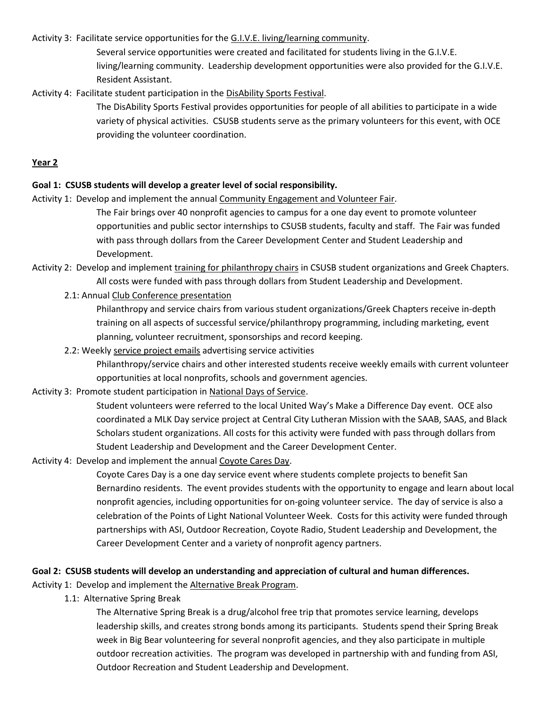Activity 3: Facilitate service opportunities for the G.I.V.E. living/learning community.

Several service opportunities were created and facilitated for students living in the G.I.V.E. living/learning community. Leadership development opportunities were also provided for the G.I.V.E. Resident Assistant.

Activity 4: Facilitate student participation in the DisAbility Sports Festival.

The DisAbility Sports Festival provides opportunities for people of all abilities to participate in a wide variety of physical activities. CSUSB students serve as the primary volunteers for this event, with OCE providing the volunteer coordination.

# **Year 2**

# **Goal 1: CSUSB students will develop a greater level of social responsibility.**

Activity 1: Develop and implement the annual Community Engagement and Volunteer Fair.

The Fair brings over 40 nonprofit agencies to campus for a one day event to promote volunteer opportunities and public sector internships to CSUSB students, faculty and staff. The Fair was funded with pass through dollars from the Career Development Center and Student Leadership and Development.

Activity 2: Develop and implement training for philanthropy chairs in CSUSB student organizations and Greek Chapters. All costs were funded with pass through dollars from Student Leadership and Development.

2.1: Annual Club Conference presentation

Philanthropy and service chairs from various student organizations/Greek Chapters receive in-depth training on all aspects of successful service/philanthropy programming, including marketing, event planning, volunteer recruitment, sponsorships and record keeping.

2.2: Weekly service project emails advertising service activities

Philanthropy/service chairs and other interested students receive weekly emails with current volunteer opportunities at local nonprofits, schools and government agencies.

Activity 3: Promote student participation in National Days of Service.

Student volunteers were referred to the local United Way's Make a Difference Day event. OCE also coordinated a MLK Day service project at Central City Lutheran Mission with the SAAB, SAAS, and Black Scholars student organizations. All costs for this activity were funded with pass through dollars from Student Leadership and Development and the Career Development Center.

Activity 4: Develop and implement the annual Coyote Cares Day.

Coyote Cares Day is a one day service event where students complete projects to benefit San Bernardino residents. The event provides students with the opportunity to engage and learn about local nonprofit agencies, including opportunities for on-going volunteer service. The day of service is also a celebration of the Points of Light National Volunteer Week. Costs for this activity were funded through partnerships with ASI, Outdoor Recreation, Coyote Radio, Student Leadership and Development, the Career Development Center and a variety of nonprofit agency partners.

#### **Goal 2: CSUSB students will develop an understanding and appreciation of cultural and human differences.**

Activity 1: Develop and implement the Alternative Break Program.

1.1: Alternative Spring Break

The Alternative Spring Break is a drug/alcohol free trip that promotes service learning, develops leadership skills, and creates strong bonds among its participants. Students spend their Spring Break week in Big Bear volunteering for several nonprofit agencies, and they also participate in multiple outdoor recreation activities. The program was developed in partnership with and funding from ASI, Outdoor Recreation and Student Leadership and Development.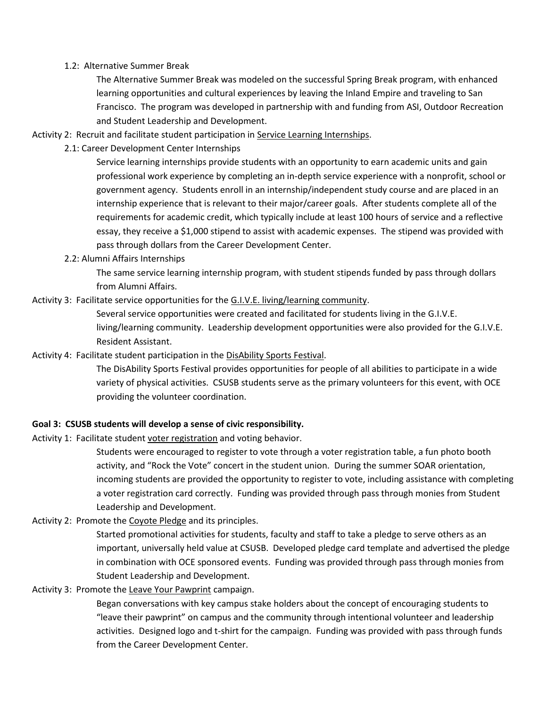## 1.2: Alternative Summer Break

The Alternative Summer Break was modeled on the successful Spring Break program, with enhanced learning opportunities and cultural experiences by leaving the Inland Empire and traveling to San Francisco. The program was developed in partnership with and funding from ASI, Outdoor Recreation and Student Leadership and Development.

Activity 2: Recruit and facilitate student participation in Service Learning Internships.

2.1: Career Development Center Internships

Service learning internships provide students with an opportunity to earn academic units and gain professional work experience by completing an in-depth service experience with a nonprofit, school or government agency. Students enroll in an internship/independent study course and are placed in an internship experience that is relevant to their major/career goals. After students complete all of the requirements for academic credit, which typically include at least 100 hours of service and a reflective essay, they receive a \$1,000 stipend to assist with academic expenses. The stipend was provided with pass through dollars from the Career Development Center.

2.2: Alumni Affairs Internships

The same service learning internship program, with student stipends funded by pass through dollars from Alumni Affairs.

# Activity 3: Facilitate service opportunities for the G.I.V.E. living/learning community.

Several service opportunities were created and facilitated for students living in the G.I.V.E. living/learning community. Leadership development opportunities were also provided for the G.I.V.E. Resident Assistant.

# Activity 4: Facilitate student participation in the DisAbility Sports Festival.

The DisAbility Sports Festival provides opportunities for people of all abilities to participate in a wide variety of physical activities. CSUSB students serve as the primary volunteers for this event, with OCE providing the volunteer coordination.

# **Goal 3: CSUSB students will develop a sense of civic responsibility.**

Activity 1: Facilitate student voter registration and voting behavior.

Students were encouraged to register to vote through a voter registration table, a fun photo booth activity, and "Rock the Vote" concert in the student union. During the summer SOAR orientation, incoming students are provided the opportunity to register to vote, including assistance with completing a voter registration card correctly. Funding was provided through pass through monies from Student Leadership and Development.

# Activity 2: Promote the Coyote Pledge and its principles.

Started promotional activities for students, faculty and staff to take a pledge to serve others as an important, universally held value at CSUSB. Developed pledge card template and advertised the pledge in combination with OCE sponsored events. Funding was provided through pass through monies from Student Leadership and Development.

#### Activity 3: Promote the Leave Your Pawprint campaign.

Began conversations with key campus stake holders about the concept of encouraging students to "leave their pawprint" on campus and the community through intentional volunteer and leadership activities. Designed logo and t-shirt for the campaign. Funding was provided with pass through funds from the Career Development Center.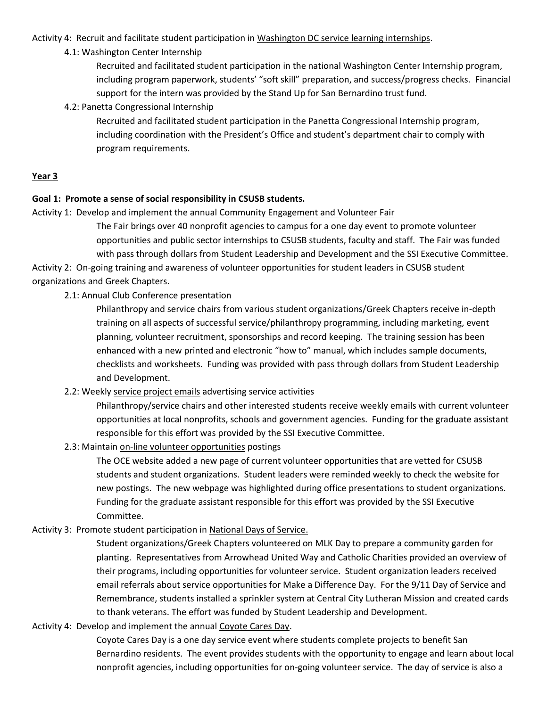#### Activity 4: Recruit and facilitate student participation in Washington DC service learning internships.

# 4.1: Washington Center Internship

Recruited and facilitated student participation in the national Washington Center Internship program, including program paperwork, students' "soft skill" preparation, and success/progress checks. Financial support for the intern was provided by the Stand Up for San Bernardino trust fund.

# 4.2: Panetta Congressional Internship

Recruited and facilitated student participation in the Panetta Congressional Internship program, including coordination with the President's Office and student's department chair to comply with program requirements.

# **Year 3**

## **Goal 1: Promote a sense of social responsibility in CSUSB students.**

Activity 1: Develop and implement the annual Community Engagement and Volunteer Fair

The Fair brings over 40 nonprofit agencies to campus for a one day event to promote volunteer opportunities and public sector internships to CSUSB students, faculty and staff. The Fair was funded with pass through dollars from Student Leadership and Development and the SSI Executive Committee.

Activity 2: On-going training and awareness of volunteer opportunities for student leaders in CSUSB student organizations and Greek Chapters.

## 2.1: Annual Club Conference presentation

Philanthropy and service chairs from various student organizations/Greek Chapters receive in-depth training on all aspects of successful service/philanthropy programming, including marketing, event planning, volunteer recruitment, sponsorships and record keeping. The training session has been enhanced with a new printed and electronic "how to" manual, which includes sample documents, checklists and worksheets. Funding was provided with pass through dollars from Student Leadership and Development.

# 2.2: Weekly service project emails advertising service activities

Philanthropy/service chairs and other interested students receive weekly emails with current volunteer opportunities at local nonprofits, schools and government agencies. Funding for the graduate assistant responsible for this effort was provided by the SSI Executive Committee.

#### 2.3: Maintain on-line volunteer opportunities postings

The OCE website added a new page of current volunteer opportunities that are vetted for CSUSB students and student organizations. Student leaders were reminded weekly to check the website for new postings. The new webpage was highlighted during office presentations to student organizations. Funding for the graduate assistant responsible for this effort was provided by the SSI Executive Committee.

# Activity 3: Promote student participation in National Days of Service.

Student organizations/Greek Chapters volunteered on MLK Day to prepare a community garden for planting. Representatives from Arrowhead United Way and Catholic Charities provided an overview of their programs, including opportunities for volunteer service. Student organization leaders received email referrals about service opportunities for Make a Difference Day. For the 9/11 Day of Service and Remembrance, students installed a sprinkler system at Central City Lutheran Mission and created cards to thank veterans. The effort was funded by Student Leadership and Development.

# Activity 4: Develop and implement the annual Coyote Cares Day.

Coyote Cares Day is a one day service event where students complete projects to benefit San Bernardino residents. The event provides students with the opportunity to engage and learn about local nonprofit agencies, including opportunities for on-going volunteer service. The day of service is also a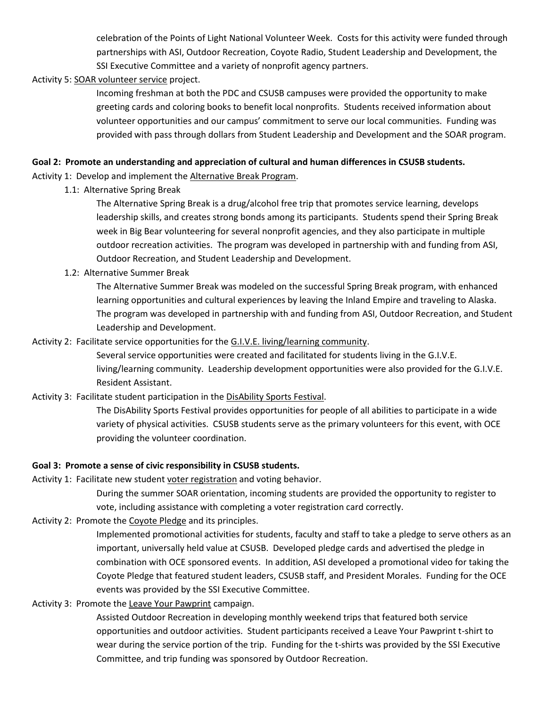celebration of the Points of Light National Volunteer Week. Costs for this activity were funded through partnerships with ASI, Outdoor Recreation, Coyote Radio, Student Leadership and Development, the SSI Executive Committee and a variety of nonprofit agency partners.

## Activity 5: SOAR volunteer service project.

Incoming freshman at both the PDC and CSUSB campuses were provided the opportunity to make greeting cards and coloring books to benefit local nonprofits. Students received information about volunteer opportunities and our campus' commitment to serve our local communities. Funding was provided with pass through dollars from Student Leadership and Development and the SOAR program.

#### **Goal 2: Promote an understanding and appreciation of cultural and human differences in CSUSB students.**

Activity 1: Develop and implement the Alternative Break Program.

1.1: Alternative Spring Break

The Alternative Spring Break is a drug/alcohol free trip that promotes service learning, develops leadership skills, and creates strong bonds among its participants. Students spend their Spring Break week in Big Bear volunteering for several nonprofit agencies, and they also participate in multiple outdoor recreation activities. The program was developed in partnership with and funding from ASI, Outdoor Recreation, and Student Leadership and Development.

# 1.2: Alternative Summer Break

The Alternative Summer Break was modeled on the successful Spring Break program, with enhanced learning opportunities and cultural experiences by leaving the Inland Empire and traveling to Alaska. The program was developed in partnership with and funding from ASI, Outdoor Recreation, and Student Leadership and Development.

# Activity 2: Facilitate service opportunities for the G.I.V.E. living/learning community.

Several service opportunities were created and facilitated for students living in the G.I.V.E. living/learning community. Leadership development opportunities were also provided for the G.I.V.E. Resident Assistant.

# Activity 3: Facilitate student participation in the DisAbility Sports Festival.

The DisAbility Sports Festival provides opportunities for people of all abilities to participate in a wide variety of physical activities. CSUSB students serve as the primary volunteers for this event, with OCE providing the volunteer coordination.

# **Goal 3: Promote a sense of civic responsibility in CSUSB students.**

Activity 1: Facilitate new student voter registration and voting behavior.

During the summer SOAR orientation, incoming students are provided the opportunity to register to vote, including assistance with completing a voter registration card correctly.

# Activity 2: Promote the Coyote Pledge and its principles.

Implemented promotional activities for students, faculty and staff to take a pledge to serve others as an important, universally held value at CSUSB. Developed pledge cards and advertised the pledge in combination with OCE sponsored events. In addition, ASI developed a promotional video for taking the Coyote Pledge that featured student leaders, CSUSB staff, and President Morales. Funding for the OCE events was provided by the SSI Executive Committee.

# Activity 3: Promote the Leave Your Pawprint campaign.

Assisted Outdoor Recreation in developing monthly weekend trips that featured both service opportunities and outdoor activities. Student participants received a Leave Your Pawprint t-shirt to wear during the service portion of the trip. Funding for the t-shirts was provided by the SSI Executive Committee, and trip funding was sponsored by Outdoor Recreation.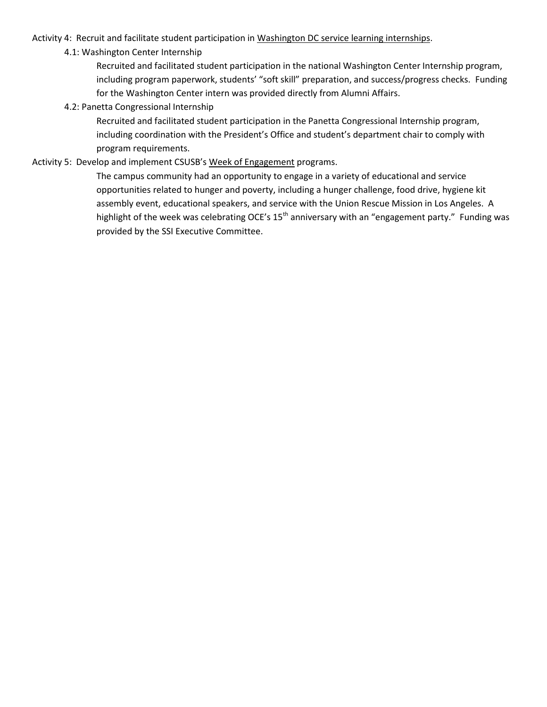## Activity 4: Recruit and facilitate student participation in Washington DC service learning internships.

# 4.1: Washington Center Internship

Recruited and facilitated student participation in the national Washington Center Internship program, including program paperwork, students' "soft skill" preparation, and success/progress checks. Funding for the Washington Center intern was provided directly from Alumni Affairs.

# 4.2: Panetta Congressional Internship

Recruited and facilitated student participation in the Panetta Congressional Internship program, including coordination with the President's Office and student's department chair to comply with program requirements.

# Activity 5: Develop and implement CSUSB's Week of Engagement programs.

The campus community had an opportunity to engage in a variety of educational and service opportunities related to hunger and poverty, including a hunger challenge, food drive, hygiene kit assembly event, educational speakers, and service with the Union Rescue Mission in Los Angeles. A highlight of the week was celebrating OCE's 15<sup>th</sup> anniversary with an "engagement party." Funding was provided by the SSI Executive Committee.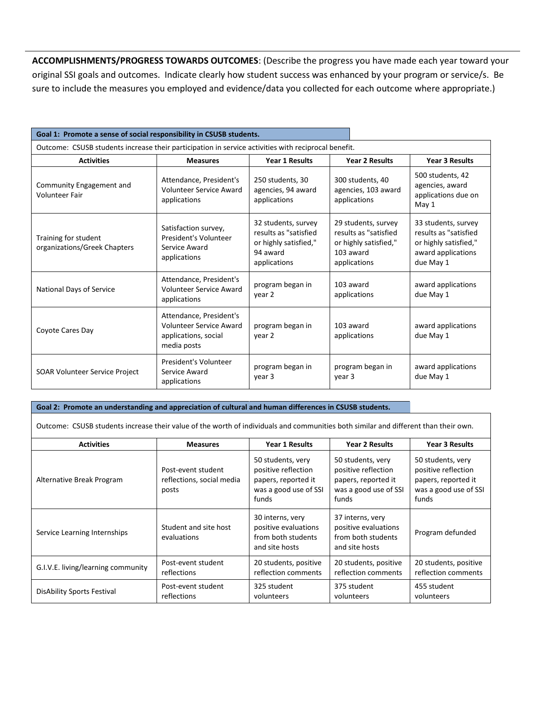**ACCOMPLISHMENTS/PROGRESS TOWARDS OUTCOMES**: (Describe the progress you have made each year toward your original SSI goals and outcomes. Indicate clearly how student success was enhanced by your program or service/s. Be sure to include the measures you employed and evidence/data you collected for each outcome where appropriate.)

| Goal 1: Promote a sense of social responsibility in CSUSB students.                                 |                                                                                                  |                                                                                                   |                                                                                                    |                                                                                                          |  |
|-----------------------------------------------------------------------------------------------------|--------------------------------------------------------------------------------------------------|---------------------------------------------------------------------------------------------------|----------------------------------------------------------------------------------------------------|----------------------------------------------------------------------------------------------------------|--|
| Outcome: CSUSB students increase their participation in service activities with reciprocal benefit. |                                                                                                  |                                                                                                   |                                                                                                    |                                                                                                          |  |
| <b>Activities</b>                                                                                   | <b>Measures</b>                                                                                  | <b>Year 1 Results</b>                                                                             | <b>Year 2 Results</b>                                                                              | <b>Year 3 Results</b>                                                                                    |  |
| Community Engagement and<br><b>Volunteer Fair</b>                                                   | Attendance, President's<br>Volunteer Service Award<br>applications                               | 250 students, 30<br>agencies, 94 award<br>applications                                            | 300 students, 40<br>agencies, 103 award<br>applications                                            | 500 students, 42<br>agencies, award<br>applications due on<br>May 1                                      |  |
| Training for student<br>organizations/Greek Chapters                                                | Satisfaction survey,<br>President's Volunteer<br>Service Award<br>applications                   | 32 students, survey<br>results as "satisfied<br>or highly satisfied,"<br>94 award<br>applications | 29 students, survey<br>results as "satisfied<br>or highly satisfied,"<br>103 award<br>applications | 33 students, survey<br>results as "satisfied<br>or highly satisfied,"<br>award applications<br>due May 1 |  |
| National Days of Service                                                                            | Attendance, President's<br>Volunteer Service Award<br>applications                               | program began in<br>103 award<br>applications<br>year 2                                           |                                                                                                    | award applications<br>due May 1                                                                          |  |
| Coyote Cares Day                                                                                    | Attendance, President's<br><b>Volunteer Service Award</b><br>applications, social<br>media posts | program began in<br>year 2                                                                        | 103 award<br>applications                                                                          | award applications<br>due May 1                                                                          |  |
| <b>SOAR Volunteer Service Project</b>                                                               | President's Volunteer<br>Service Award<br>applications                                           | program began in<br>year 3                                                                        | program began in<br>year 3                                                                         | award applications<br>due May 1                                                                          |  |

#### **Goal 2: Promote an understanding and appreciation of cultural and human differences in CSUSB students.**

Outcome: CSUSB students increase their value of the worth of individuals and communities both similar and different than their own.

| <b>Activities</b>                  | <b>Measures</b>                                          | <b>Year 1 Results</b>                                                                                                                                                | <b>Year 2 Results</b>                                                                             | <b>Year 3 Results</b>                                                                             |
|------------------------------------|----------------------------------------------------------|----------------------------------------------------------------------------------------------------------------------------------------------------------------------|---------------------------------------------------------------------------------------------------|---------------------------------------------------------------------------------------------------|
| Alternative Break Program          | Post-event student<br>reflections, social media<br>posts | 50 students, very<br>positive reflection<br>papers, reported it<br>was a good use of SSI<br>funds                                                                    | 50 students, very<br>positive reflection<br>papers, reported it<br>was a good use of SSI<br>funds | 50 students, very<br>positive reflection<br>papers, reported it<br>was a good use of SSI<br>funds |
| Service Learning Internships       | Student and site host<br>evaluations                     | 30 interns, very<br>37 interns, very<br>positive evaluations<br>positive evaluations<br>from both students<br>from both students<br>and site hosts<br>and site hosts |                                                                                                   | Program defunded                                                                                  |
| G.I.V.E. living/learning community | Post-event student<br>reflections                        | 20 students, positive<br>20 students, positive<br>reflection comments<br>reflection comments                                                                         |                                                                                                   | 20 students, positive<br>reflection comments                                                      |
| DisAbility Sports Festival         | Post-event student<br>reflections                        | 325 student<br>volunteers                                                                                                                                            | 375 student<br>volunteers                                                                         | 455 student<br>volunteers                                                                         |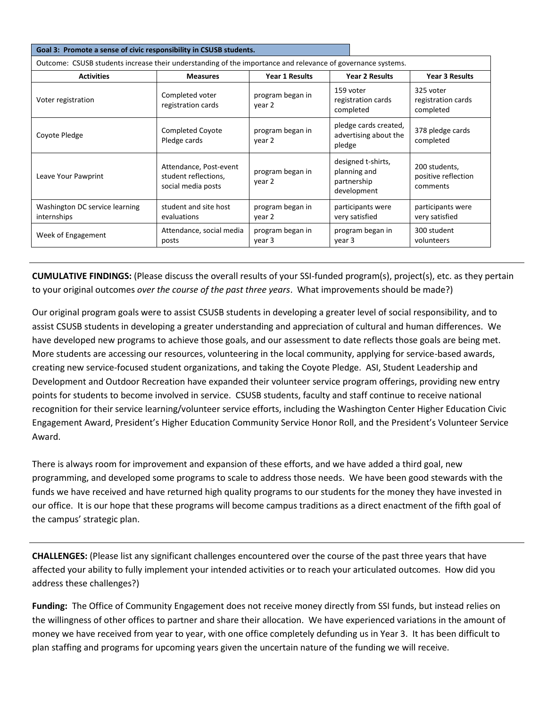| Goal 3: Promote a sense of civic responsibility in CSUSB students.                                          |                                                                      |                            |                                                                  |                                                  |  |
|-------------------------------------------------------------------------------------------------------------|----------------------------------------------------------------------|----------------------------|------------------------------------------------------------------|--------------------------------------------------|--|
| Outcome: CSUSB students increase their understanding of the importance and relevance of governance systems. |                                                                      |                            |                                                                  |                                                  |  |
| <b>Activities</b>                                                                                           | <b>Measures</b>                                                      | <b>Year 1 Results</b>      | <b>Year 2 Results</b>                                            | <b>Year 3 Results</b>                            |  |
| Voter registration                                                                                          | Completed voter<br>registration cards                                | program began in<br>year 2 | 159 voter<br>registration cards<br>completed                     | 325 voter<br>registration cards<br>completed     |  |
| Coyote Pledge                                                                                               | <b>Completed Coyote</b><br>Pledge cards                              | program began in<br>year 2 | pledge cards created,<br>advertising about the<br>pledge         | 378 pledge cards<br>completed                    |  |
| Leave Your Pawprint                                                                                         | Attendance, Post-event<br>student reflections,<br>social media posts | program began in<br>year 2 | designed t-shirts,<br>planning and<br>partnership<br>development | 200 students,<br>positive reflection<br>comments |  |
| Washington DC service learning<br>internships                                                               | student and site host<br>evaluations                                 | program began in<br>year 2 | participants were<br>very satisfied                              | participants were<br>very satisfied              |  |
| Week of Engagement                                                                                          | Attendance, social media<br>posts                                    | program began in<br>year 3 | program began in<br>year 3                                       | 300 student<br>volunteers                        |  |

**CUMULATIVE FINDINGS:** (Please discuss the overall results of your SSI-funded program(s), project(s), etc. as they pertain to your original outcomes *over the course of the past three years*. What improvements should be made?)

Our original program goals were to assist CSUSB students in developing a greater level of social responsibility, and to assist CSUSB students in developing a greater understanding and appreciation of cultural and human differences. We have developed new programs to achieve those goals, and our assessment to date reflects those goals are being met. More students are accessing our resources, volunteering in the local community, applying for service-based awards, creating new service-focused student organizations, and taking the Coyote Pledge. ASI, Student Leadership and Development and Outdoor Recreation have expanded their volunteer service program offerings, providing new entry points for students to become involved in service. CSUSB students, faculty and staff continue to receive national recognition for their service learning/volunteer service efforts, including the Washington Center Higher Education Civic Engagement Award, President's Higher Education Community Service Honor Roll, and the President's Volunteer Service Award.

There is always room for improvement and expansion of these efforts, and we have added a third goal, new programming, and developed some programs to scale to address those needs. We have been good stewards with the funds we have received and have returned high quality programs to our students for the money they have invested in our office. It is our hope that these programs will become campus traditions as a direct enactment of the fifth goal of the campus' strategic plan.

**CHALLENGES:** (Please list any significant challenges encountered over the course of the past three years that have affected your ability to fully implement your intended activities or to reach your articulated outcomes. How did you address these challenges?)

**Funding:** The Office of Community Engagement does not receive money directly from SSI funds, but instead relies on the willingness of other offices to partner and share their allocation. We have experienced variations in the amount of money we have received from year to year, with one office completely defunding us in Year 3. It has been difficult to plan staffing and programs for upcoming years given the uncertain nature of the funding we will receive.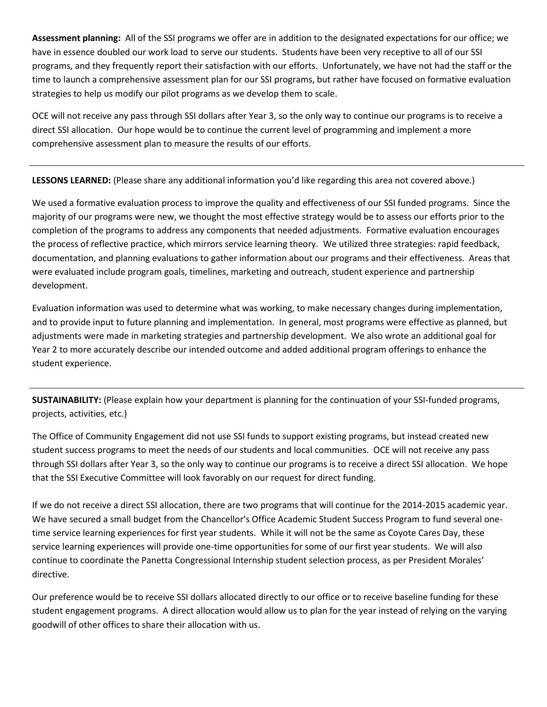**Assessment planning:** All of the SSI programs we offer are in addition to the designated expectations for our office; we have in essence doubled our work load to serve our students. Students have been very receptive to all of our SSI programs, and they frequently report their satisfaction with our efforts. Unfortunately, we have not had the staff or the time to launch a comprehensive assessment plan for our SSI programs, but rather have focused on formative evaluation strategies to help us modify our pilot programs as we develop them to scale.

OCE will not receive any pass through SSI dollars after Year 3, so the only way to continue our programs is to receive a direct SSI allocation. Our hope would be to continue the current level of programming and implement a more comprehensive assessment plan to measure the results of our efforts.

**LESSONS LEARNED:** (Please share any additional information you'd like regarding this area not covered above.)

We used a formative evaluation process to improve the quality and effectiveness of our SSI funded programs. Since the majority of our programs were new, we thought the most effective strategy would be to assess our efforts prior to the completion of the programs to address any components that needed adjustments. Formative evaluation encourages the process of reflective practice, which mirrors service learning theory. We utilized three strategies: rapid feedback, documentation, and planning evaluations to gather information about our programs and their effectiveness. Areas that were evaluated include program goals, timelines, marketing and outreach, student experience and partnership development.

Evaluation information was used to determine what was working, to make necessary changes during implementation, and to provide input to future planning and implementation. In general, most programs were effective as planned, but adjustments were made in marketing strategies and partnership development. We also wrote an additional goal for Year 2 to more accurately describe our intended outcome and added additional program offerings to enhance the student experience.

**SUSTAINABILITY:** (Please explain how your department is planning for the continuation of your SSI-funded programs, projects, activities, etc.)

The Office of Community Engagement did not use SSI funds to support existing programs, but instead created new student success programs to meet the needs of our students and local communities. OCE will not receive any pass through SSI dollars after Year 3, so the only way to continue our programs is to receive a direct SSI allocation. We hope that the SSI Executive Committee will look favorably on our request for direct funding.

If we do not receive a direct SSI allocation, there are two programs that will continue for the 2014-2015 academic year. We have secured a small budget from the Chancellor's Office Academic Student Success Program to fund several onetime service learning experiences for first year students. While it will not be the same as Coyote Cares Day, these service learning experiences will provide one-time opportunities for some of our first year students. We will also continue to coordinate the Panetta Congressional Internship student selection process, as per President Morales' directive.

Our preference would be to receive SSI dollars allocated directly to our office or to receive baseline funding for these student engagement programs. A direct allocation would allow us to plan for the year instead of relying on the varying goodwill of other offices to share their allocation with us.